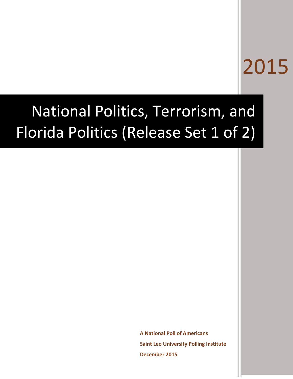# 2015

# National Politics, Terrorism, and Florida Politics (Release Set 1 of 2)

**A National Poll of Americans Saint Leo University Polling Institute December 2015**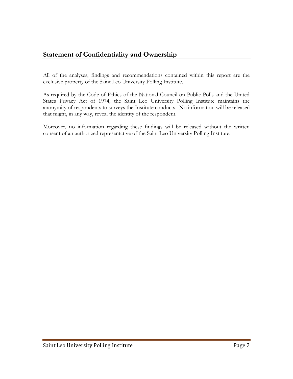### **Statement of Confidentiality and Ownership**

All of the analyses, findings and recommendations contained within this report are the exclusive property of the Saint Leo University Polling Institute.

As required by the Code of Ethics of the National Council on Public Polls and the United States Privacy Act of 1974, the Saint Leo University Polling Institute maintains the anonymity of respondents to surveys the Institute conducts. No information will be released that might, in any way, reveal the identity of the respondent.

Moreover, no information regarding these findings will be released without the written consent of an authorized representative of the Saint Leo University Polling Institute.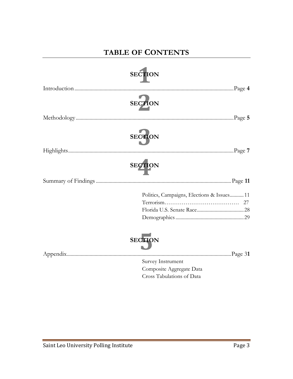## **TABLE OF CONTENTS**

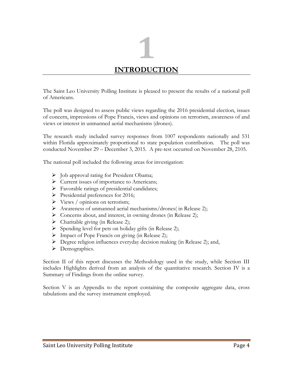# **1 INTRODUCTION**

The Saint Leo University Polling Institute is pleased to present the results of a national poll of Americans.

The poll was designed to assess public views regarding the 2016 presidential election, issues of concern, impressions of Pope Francis, views and opinions on terrorism, awareness of and views or interest in unmanned aerial mechanisms (drones).

The research study included survey responses from 1007 respondents nationally and 531 within Florida approximately proportional to state population contribution. The poll was conducted November 29 – December 3, 2015. A pre-test occurred on November 28, 2105.

The national poll included the following areas for investigation:

- $\triangleright$  Job approval rating for President Obama;
- Current issues of importance to Americans;
- $\triangleright$  Favorable ratings of presidential candidates;
- $\triangleright$  Presidential preferences for 2016;
- $\triangleright$  Views / opinions on terrorism;
- $\triangleright$  Awareness of unmanned aerial mechanisms/drones( in Release 2);
- Concerns about, and interest, in owning drones (in Release 2);
- $\triangleright$  Charitable giving (in Release 2);
- $\triangleright$  Spending level for pets on holiday gifts (in Release 2);
- > Impact of Pope Francis on giving (in Release 2);
- Degree religion influences everyday decision making (in Release 2); and,
- > Demographics.

Section II of this report discusses the Methodology used in the study, while Section III includes Highlights derived from an analysis of the quantitative research. Section IV is a Summary of Findings from the online survey.

Section V is an Appendix to the report containing the composite aggregate data, cross tabulations and the survey instrument employed.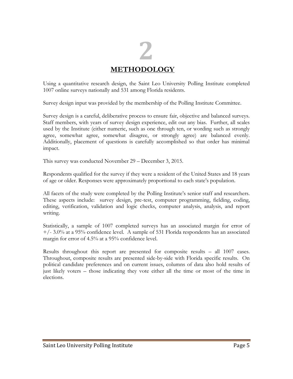## **2 METHODOLOGY**

Using a quantitative research design, the Saint Leo University Polling Institute completed 1007 online surveys nationally and 531 among Florida residents.

Survey design input was provided by the membership of the Polling Institute Committee.

Survey design is a careful, deliberative process to ensure fair, objective and balanced surveys. Staff members, with years of survey design experience, edit out any bias. Further, all scales used by the Institute (either numeric, such as one through ten, or wording such as strongly agree, somewhat agree, somewhat disagree, or strongly agree) are balanced evenly. Additionally, placement of questions is carefully accomplished so that order has minimal impact.

This survey was conducted November 29 – December 3, 2015.

Respondents qualified for the survey if they were a resident of the United States and 18 years of age or older. Responses were approximately proportional to each state's population.

All facets of the study were completed by the Polling Institute's senior staff and researchers. These aspects include: survey design, pre-test, computer programming, fielding, coding, editing, verification, validation and logic checks, computer analysis, analysis, and report writing.

Statistically, a sample of 1007 completed surveys has an associated margin for error of  $+/- 3.0\%$  at a 95% confidence level. A sample of 531 Florida respondents has an associated margin for error of 4.5% at a 95% confidence level.

Results throughout this report are presented for composite results – all 1007 cases. Throughout, composite results are presented side-by-side with Florida specific results. On political candidate preferences and on current issues, columns of data also hold results of just likely voters – those indicating they vote either all the time or most of the time in elections.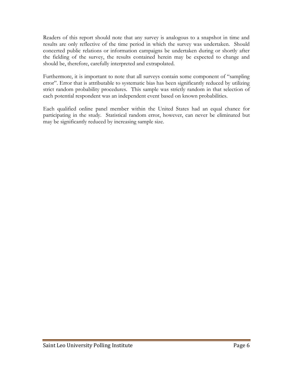Readers of this report should note that any survey is analogous to a snapshot in time and results are only reflective of the time period in which the survey was undertaken. Should concerted public relations or information campaigns be undertaken during or shortly after the fielding of the survey, the results contained herein may be expected to change and should be, therefore, carefully interpreted and extrapolated.

Furthermore, it is important to note that all surveys contain some component of "sampling error". Error that is attributable to systematic bias has been significantly reduced by utilizing strict random probability procedures. This sample was strictly random in that selection of each potential respondent was an independent event based on known probabilities.

Each qualified online panel member within the United States had an equal chance for participating in the study. Statistical random error, however, can never be eliminated but may be significantly reduced by increasing sample size.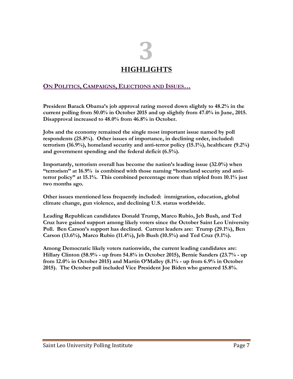## **3 HIGHLIGHTS**

#### **ON POLITICS, CAMPAIGNS, ELECTIONS AND ISSUES…**

**President Barack Obama's job approval rating moved down slightly to 48.2% in the current polling from 50.0% in October 2015 and up slightly from 47.0% in June, 2015. Disapproval increased to 48.0% from 46.8% in October.**

**Jobs and the economy remained the single most important issue named by poll respondents (25.8%). Other issues of importance, in declining order, included: terrorism (16.9%), homeland security and anti-terror policy (15.1%), healthcare (9.2%) and government spending and the federal deficit (6.5%).**

**Importantly, terrorism overall has become the nation's leading issue (32.0%) when "terrorism" at 16.9% is combined with those naming "homeland security and antiterror policy" at 15.1%. This combined percentage more than tripled from 10.1% just two months ago.**

**Other issues mentioned less frequently included: immigration, education, global climate change, gun violence, and declining U.S. status worldwide.**

**Leading Republican candidates Donald Trump, Marco Rubio, Jeb Bush, and Ted Cruz have gained support among likely voters since the October Saint Leo University Poll. Ben Carson's support has declined. Current leaders are: Trump (29.1%), Ben Carson (13.6%), Marco Rubio (11.4%), Jeb Bush (10.5%) and Ted Cruz (9.1%).**

**Among Democratic likely voters nationwide, the current leading candidates are: Hillary Clinton (58.9% - up from 54.8% in October 2015), Bernie Sanders (23.7% - up from 12.0% in October 2015) and Martin O'Malley (8.1% - up from 6.9% in October 2015). The October poll included Vice President Joe Biden who garnered 15.8%.**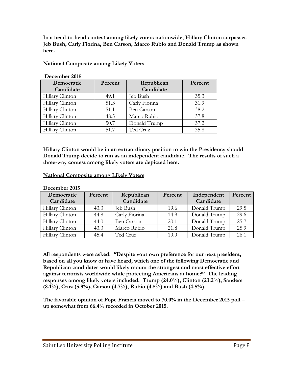**In a head-to-head contest among likely voters nationwide, Hillary Clinton surpasses Jeb Bush, Carly Fiorina, Ben Carson, Marco Rubio and Donald Trump as shown here.**

#### **National Composite among Likely Voters**

| Democratic      | Percent | Republican        | Percent |
|-----------------|---------|-------------------|---------|
| Candidate       |         | Candidate         |         |
| Hillary Clinton | 49.1    | Jeb Bush          | 35.3    |
| Hillary Clinton | 51.3    | Carly Fiorina     | 31.9    |
| Hillary Clinton | 51.1    | <b>Ben Carson</b> | 38.2    |
| Hillary Clinton | 48.5    | Marco Rubio       | 37.8    |
| Hillary Clinton | 50.7    | Donald Trump      | 37.2    |
| Hillary Clinton | 51.7    | Ted Cruz          | 35.8    |

#### **December 2015**

**Hillary Clinton would be in an extraordinary position to win the Presidency should Donald Trump decide to run as an independent candidate. The results of such a three-way contest among likely voters are depicted here.**

#### **National Composite among Likely Voters**

#### **December 2015**

| Democratic      | Percent | Republican        | Percent | Independent  | Percent |
|-----------------|---------|-------------------|---------|--------------|---------|
| Candidate       |         | Candidate         |         | Candidate    |         |
| Hillary Clinton | 43.3    | Jeb Bush          | 19.6    | Donald Trump | 29.5    |
| Hillary Clinton | 44.8    | Carly Fiorina     | 14.9    | Donald Trump | 29.6    |
| Hillary Clinton | 44.0    | <b>Ben Carson</b> | 20.1    | Donald Trump | 25.7    |
| Hillary Clinton | 43.3    | Marco Rubio       | 21.8    | Donald Trump | 25.9    |
| Hillary Clinton | 45.4    | Ted Cruz          | 19.9    | Donald Trump | 26.1    |

**All respondents were asked: "Despite your own preference for our next president, based on all you know or have heard, which one of the following Democratic and Republican candidates would likely mount the strongest and most effective effort against terrorists worldwide while protecting Americans at home?" The leading responses among likely voters included: Trump (24.0%), Clinton (23.2%), Sanders (8.1%), Cruz (5.9%), Carson (4.7%), Rubio (4.5%) and Bush (4.5%).**

**The favorable opinion of Pope Francis moved to 70.0% in the December 2015 poll – up somewhat from 66.4% recorded in October 2015.**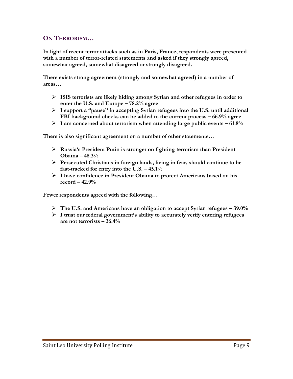#### **ON TERRORISM…**

**In light of recent terror attacks such as in Paris, France, respondents were presented with a number of terror-related statements and asked if they strongly agreed, somewhat agreed, somewhat disagreed or strongly disagreed.** 

**There exists strong agreement (strongly and somewhat agreed) in a number of areas…**

- **ISIS terrorists are likely hiding among Syrian and other refugees in order to enter the U.S. and Europe – 78.2% agree**
- **I support a "pause" in accepting Syrian refugees into the U.S. until additional FBI background checks can be added to the current process – 66.9% agree**
- **I am concerned about terrorism when attending large public events – 61.8%**

**There is also significant agreement on a number of other statements…**

- **Russia's President Putin is stronger on fighting terrorism than President Obama – 48.3%**
- **Persecuted Christians in foreign lands, living in fear, should continue to be**  fast-tracked for entry into the U.S. – 45.1%
- **I have confidence in President Obama to protect Americans based on his record – 42.9%**

**Fewer respondents agreed with the following…**

- **The U.S. and Americans have an obligation to accept Syrian refugees – 39.0%**
- **I trust our federal government's ability to accurately verify entering refugees are not terrorists – 36.4%**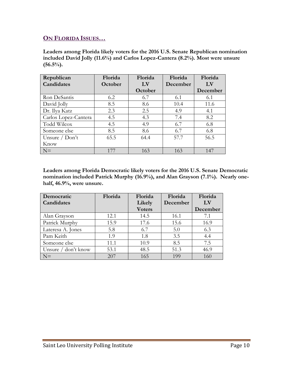#### **ON FLORIDA ISSUES…**

**Leaders among Florida likely voters for the 2016 U.S. Senate Republican nomination included David Jolly (11.6%) and Carlos Lopez-Cantera (8.2%). Most were unsure (56.5%).**

| Republican           | Florida | Florida | Florida  | Florida  |
|----------------------|---------|---------|----------|----------|
| Candidates           | October | LV      | December | LV       |
|                      |         | October |          | December |
| Ron DeSantis         | 6.2     | 6.7     | 6.1      | 6.1      |
| David Jolly          | 8.5     | 8.6     | 10.4     | 11.6     |
| Dr. Ilya Katz        | 2.3     | 2.5     | 4.9      | 4.1      |
| Carlos Lopez-Cantera | 4.5     | 4.3     | 7.4      | 8.2      |
| <b>Todd Wilcox</b>   | 4.5     | 4.9     | 6.7      | 6.8      |
| Someone else         | 8.5     | 8.6     | 6.7      | 6.8      |
| Unsure $/$ Don't     | 65.5    | 64.4    | 57.7     | 56.5     |
| Know                 |         |         |          |          |
| $N=$                 | 177     | 163     | 163      | 147      |

**Leaders among Florida Democratic likely voters for the 2016 U.S. Senate Democratic nomination included Patrick Murphy (16.9%), and Alan Grayson (7.1%). Nearly onehalf, 46.9%, were unsure.**

| Democratic                      | Florida | Florida       | Florida  | Florida                |
|---------------------------------|---------|---------------|----------|------------------------|
| Candidates                      |         | Likely        | December | $\mathbf{L}\mathbf{V}$ |
|                                 |         | <b>Voters</b> |          | December               |
| Alan Grayson                    | 12.1    | 14.5          | 16.1     | 7.1                    |
| Patrick Murphy                  | 15.9    | 17.6          | 15.6     | 16.9                   |
| Lateresa A. Jones               | 5.8     | 6.7           | 5.0      | 6.3                    |
| Pam Keith                       | 1.9     | 1.8           | 3.5      | 4.4                    |
| Someone else                    | 11.1    | 10.9          | 8.5      | 7.5                    |
| Unsure $\frac{1}{2}$ don't know | 53.1    | 48.5          | 51.3     | 46.9                   |
| $N=$                            | 207     | 165           | 199      | 160                    |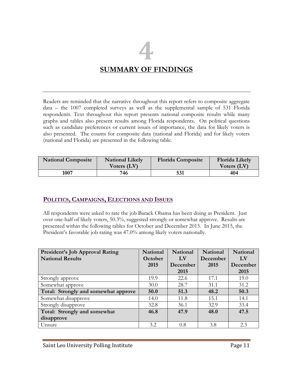## **4 SUMMARY OF FINDINGS**

Readers are reminded that the narrative throughout this report refers to composite aggregate data – the 1007 completed surveys as well as the supplemental sample of 531 Florida respondents. Text throughout this report presents national composite results while many graphs and tables also present results among Florida respondents. On political questions such as candidate preferences or current issues of importance, the data for likely voters is also presented. The counts for composite data (national and Florida) and for likely voters (national and Florida) are presented in the following table.

| <b>National Composite</b> | <b>National Likely</b><br>Voters (LV) | <b>Florida Composite</b> | <b>Florida Likely</b><br>Voters (LV) |
|---------------------------|---------------------------------------|--------------------------|--------------------------------------|
| 1007                      | 746                                   | 531                      | 404                                  |

#### **POLITICS, CAMPAIGNS, ELECTIONS AND ISSUES**

All respondents were asked to rate the job Barack Obama has been doing as President. Just over one-half of likely voters, 50.3%, suggested strongly or somewhat approve. Results are presented within the following tables for October and December 2015. In June 2015, the President's favorable job rating was 47.0% among likely voters nationally.

| <b>President's Job Approval Rating</b> | <b>National</b> | <b>National</b>        | <b>National</b> | <b>National</b> |
|----------------------------------------|-----------------|------------------------|-----------------|-----------------|
| <b>National Results</b>                | October         | $\mathbf{L}\mathbf{V}$ | December        | LV              |
|                                        | 2015            | December               | 2015            | December        |
|                                        |                 | 2015                   |                 | 2015            |
| Strongly approve                       | 19.9            | 22.6                   | 17.1            | 19.0            |
| Somewhat approve                       | 30.0            | 28.7                   | 31.1            | 31.2            |
| Total: Strongly and somewhat approve   | 50.0            | 51.3                   | 48.2            | 50.3            |
| Somewhat disapprove                    | 14.0            | 11.8                   | 15.1            | 14.1            |
| Strongly disapprove                    | 32.8            | 36.1                   | 32.9            | 33.4            |
| Total: Strongly and somewhat           | 46.8            | 47.9                   | 48.0            | 47.5            |
| disapprove                             |                 |                        |                 |                 |
| Unsure                                 | 3.2             | 0.8                    | 3.8             | 2.3             |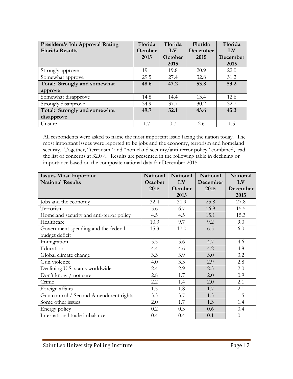| <b>President's Job Approval Rating</b> | Florida | Florida                | Florida  | Florida                |
|----------------------------------------|---------|------------------------|----------|------------------------|
| <b>Florida Results</b>                 | October | $\mathbf{L}\mathbf{V}$ | December | $\mathbf{L}\mathbf{V}$ |
|                                        | 2015    | October                | 2015     | December               |
|                                        |         | 2015                   |          | 2015                   |
| Strongly approve                       | 19.1    | 19.8                   | 20.9     | 22.0                   |
| Somewhat approve                       | 29.5    | 27.4                   | 32.8     | 31.2                   |
| Total: Strongly and somewhat           | 48.6    | 47.2                   | 53.8     | 53.2                   |
| approve                                |         |                        |          |                        |
| Somewhat disapprove                    | 14.8    | 14.4                   | 13.4     | 12.6                   |
| Strongly disapprove                    | 34.9    | 37.7                   | 30.2     | 32.7                   |
| Total: Strongly and somewhat           | 49.7    | 52.1                   | 43.6     | 45.3                   |
| disapprove                             |         |                        |          |                        |
| Unsure                                 | 1.7     | 0.7                    | 2.6      | 1.5                    |

All respondents were asked to name the most important issue facing the nation today. The most important issues were reported to be jobs and the economy, terrorism and homeland security. Together, "terrorism" and "homeland security/anti-terror policy" combined, lead the list of concerns at 32.0%. Results are presented in the following table in declining or importance based on the composite national data for December 2015.

| <b>Issues Most Important</b>             | <b>National</b> | National | <b>National</b> | <b>National</b> |
|------------------------------------------|-----------------|----------|-----------------|-----------------|
| <b>National Results</b>                  | October         | LV       | December        | LV              |
|                                          | 2015            | October  | 2015            | December        |
|                                          |                 | 2015     |                 | 2015            |
| Jobs and the economy                     | 32.4            | 30.9     | 25.8            | 27.8            |
| Terrorism                                | 5.6             | 6.7      | 16.9            | 15.5            |
| Homeland security and anti-terror policy | 4.5             | 4.5      | 15.1            | 15.3            |
| Healthcare                               | 10.3            | 9.7      | 9.2             | 9.0             |
| Government spending and the federal      | 15.3            | 17.0     | 6.5             | 6.0             |
| budget deficit                           |                 |          |                 |                 |
| Immigration                              | 5.5             | 5.6      | 4.7             | 4.6             |
| Education                                | 4.4             | 4.6      | 4.2             | 4.8             |
| Global climate change                    | 3.3             | 3.9      | 3.0             | 3.2             |
| Gun violence                             | 4.0             | 3.3      | 2.9             | 2.8             |
| Declining U.S. status worldwide          | 2.4             | 2.9      | 2.3             | 2.0             |
| Don't know / not sure                    | 2.8             | 1.7      | 2.0             | 0.9             |
| Crime                                    | 2.2             | 1.4      | 2.0             | 2.1             |
| Foreign affairs                          | 1.5             | 1.8      | 1.7             | 2.1             |
| Gun control / Second Amendment rights    | 3.3             | 3.7      | 1.3             | 1.5             |
| Some other issues                        | 2.0             | 1.7      | 1.3             | 1.4             |
| Energy policy                            | 0.2             | 0.3      | 0.6             | 0.4             |
| International trade imbalance            | 0.4             | 0.4      | 0.1             | 0.1             |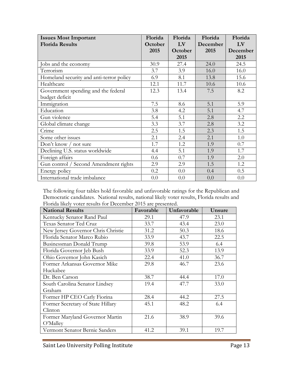| <b>Issues Most Important</b>             | Florida | Florida | Florida  | Florida  |
|------------------------------------------|---------|---------|----------|----------|
| <b>Florida Results</b>                   | October | LV      | December | LV       |
|                                          | 2015    | October | 2015     | December |
|                                          |         | 2015    |          | 2015     |
| Jobs and the economy                     | 30.9    | 27.4    | 24.0     | 24.5     |
| Terrorism                                | 3.7     | 3.9     | 16.0     | 16.0     |
| Homeland security and anti-terror policy | 6.9     | 8.1     | 13.8     | 15.6     |
| Healthcare                               | 12.1    | 11.7    | 10.6     | 10.6     |
| Government spending and the federal      | 12.3    | 13.4    | 7.5      | 8.2      |
| budget deficit                           |         |         |          |          |
| Immigration                              | 7.5     | 8.6     | 5.1      | 5.9      |
| Education                                | 3.8     | 4.2     | 5.1      | 4.7      |
| Gun violence                             | 5.4     | 5.1     | 2.8      | 2.2      |
| Global climate change                    | 3.3     | 3.7     | 2.8      | 3.2      |
| Crime                                    | 2.5     | 1.5     | 2.3      | 1.5      |
| Some other issues                        | 2.1     | 2.4     | 2.1      | 1.0      |
| Don't know $/$ not sure                  | 1.7     | 1.2     | 1.9      | 0.7      |
| Declining U.S. status worldwide          | 4.4     | 5.1     | 1.9      | 1.7      |
| Foreign affairs                          | 0.6     | 0.7     | 1.9      | 2.0      |
| Gun control / Second Amendment rights    | 2.9     | 2.9     | 1.5      | 1.2      |
| Energy policy                            | 0.2     | 0.0     | 0.4      | 0.5      |
| International trade imbalance            | 0.0     | 0.0     | 0.0      | 0.0      |

The following four tables hold favorable and unfavorable ratings for the Republican and Democratic candidates. National results, national likely voter results, Florida results and Florida likely voter results for December 2015 are presented.

| <b>National Results</b>            | Favorable | Unfavorable | Unsure |
|------------------------------------|-----------|-------------|--------|
| Kentucky Senator Rand Paul         | 29.1      | 47.9        | 23.1   |
| Texas Senator Ted Cruz             | 33.7      | 43.4        | 23.0   |
| New Jersey Governor Chris Christie | 31.2      | 50.3        | 18.6   |
| Florida Senator Marco Rubio        | 33.9      | 43.7        | 22.5   |
| Businessman Donald Trump           | 39.8      | 53.9        | 6.4    |
| Florida Governor Jeb Bush          | 33.9      | 52.3        | 13.9   |
| Ohio Governor John Kasich          | 22.4      | 41.0        | 36.7   |
| Former Arkansas Governor Mike      | 29.8      | 46.7        | 23.6   |
| Huckabee                           |           |             |        |
| Dr. Ben Carson                     | 38.7      | 44.4        | 17.0   |
| South Carolina Senator Lindsey     | 19.4      | 47.7        | 33.0   |
| Graham                             |           |             |        |
| Former HP CEO Carly Fiorina        | 28.4      | 44.2        | 27.5   |
| Former Secretary of State Hillary  | 45.1      | 48.2        | 6.4    |
| Clinton                            |           |             |        |
| Former Maryland Governor Martin    | 21.6      | 38.9        | 39.6   |
| O'Malley                           |           |             |        |
| Vermont Senator Bernie Sanders     | 41.2      | 39.1        | 19.7   |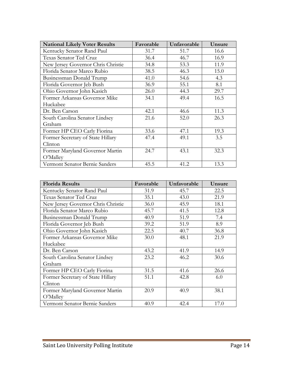| <b>National Likely Voter Results</b> | Favorable | Unfavorable | Unsure |
|--------------------------------------|-----------|-------------|--------|
| Kentucky Senator Rand Paul           | 31.7      | 51.7        | 16.6   |
| Texas Senator Ted Cruz               | 36.4      | 46.7        | 16.9   |
| New Jersey Governor Chris Christie   | 34.8      | 53.3        | 11.9   |
| Florida Senator Marco Rubio          | 38.5      | 46.3        | 15.0   |
| Businessman Donald Trump             | 41.0      | 54.6        | 4.3    |
| Florida Governor Jeb Bush            | 36.9      | 55.1        | 8.1    |
| Ohio Governor John Kasich            | 26.0      | 44.3        | 29.7   |
| Former Arkansas Governor Mike        | 34.1      | 49.4        | 16.5   |
| Huckabee                             |           |             |        |
| Dr. Ben Carson                       | 42.1      | 46.6        | 11.3   |
| South Carolina Senator Lindsey       | 21.6      | 52.0        | 26.3   |
| Graham                               |           |             |        |
| Former HP CEO Carly Fiorina          | 33.6      | 47.1        | 19.3   |
| Former Secretary of State Hillary    | 47.4      | 49.1        | 3.5    |
| Clinton                              |           |             |        |
| Former Maryland Governor Martin      | 24.7      | 43.1        | 32.3   |
| O'Malley                             |           |             |        |
| Vermont Senator Bernie Sanders       | 45.5      | 41.2        | 13.3   |

| <b>Florida Results</b>             | Favorable | Unfavorable | Unsure |
|------------------------------------|-----------|-------------|--------|
| Kentucky Senator Rand Paul         | 31.9      | 45.7        | 22.5   |
| Texas Senator Ted Cruz             | 35.1      | 43.0        | 21.9   |
| New Jersey Governor Chris Christie | 36.0      | 45.9        | 18.1   |
| Florida Senator Marco Rubio        | 45.7      | 41.5        | 12.8   |
| Businessman Donald Trump           | 40.9      | 51.9        | 7.4    |
| Florida Governor Jeb Bush          | 39.2      | 51.9        | 8.9    |
| Ohio Governor John Kasich          | 22.5      | 40.7        | 36.8   |
| Former Arkansas Governor Mike      | 30.0      | 48.1        | 21.9   |
| Huckabee                           |           |             |        |
| Dr. Ben Carson                     | 43.2      | 41.9        | 14.9   |
| South Carolina Senator Lindsey     | 23.2      | 46.2        | 30.6   |
| Graham                             |           |             |        |
| Former HP CEO Carly Fiorina        | 31.5      | 41.6        | 26.6   |
| Former Secretary of State Hillary  | 51.1      | 42.8        | 6.0    |
| Clinton                            |           |             |        |
| Former Maryland Governor Martin    | 20.9      | 40.9        | 38.1   |
| O'Malley                           |           |             |        |
| Vermont Senator Bernie Sanders     | 40.9      | 42.4        | 17.0   |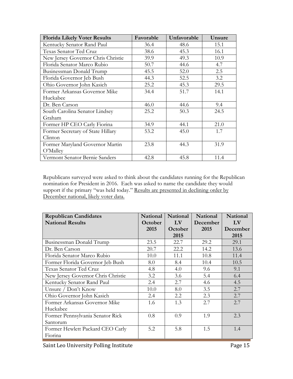| <b>Florida Likely Voter Results</b> | Favorable | Unfavorable | Unsure |
|-------------------------------------|-----------|-------------|--------|
| Kentucky Senator Rand Paul          | 36.4      | 48.6        | 15.1   |
| Texas Senator Ted Cruz              | 38.6      | 45.3        | 16.1   |
| New Jersey Governor Chris Christie  | 39.9      | 49.3        | 10.9   |
| Florida Senator Marco Rubio         | 50.7      | 44.6        | 4.7    |
| Businessman Donald Trump            | 45.5      | 52.0        | 2.5    |
| Florida Governor Jeb Bush           | 44.3      | 52.5        | 3.2    |
| Ohio Governor John Kasich           | 25.2      | 45.3        | 29.5   |
| Former Arkansas Governor Mike       | 34.4      | 51.7        | 14.1   |
| Huckabee                            |           |             |        |
| Dr. Ben Carson                      | 46.0      | 44.6        | 9.4    |
| South Carolina Senator Lindsey      | 25.2      | 50.3        | 24.5   |
| Graham                              |           |             |        |
| Former HP CEO Carly Fiorina         | 34.9      | 44.1        | 21.0   |
| Former Secretary of State Hillary   | 53.2      | 45.0        | 1.7    |
| Clinton                             |           |             |        |
| Former Maryland Governor Martin     | 23.8      | 44.3        | 31.9   |
| O'Malley                            |           |             |        |
| Vermont Senator Bernie Sanders      | 42.8      | 45.8        | 11.4   |

Republicans surveyed were asked to think about the candidates running for the Republican nomination for President in 2016. Each was asked to name the candidate they would support if the primary "was held today." Results are presented in declining order by December national, likely voter data.

| <b>Republican Candidates</b>       | <b>National</b> | National | National | National    |
|------------------------------------|-----------------|----------|----------|-------------|
| <b>National Results</b>            | October         | LV       | December | $L_{\rm V}$ |
|                                    | 2015            | October  | 2015     | December    |
|                                    |                 | 2015     |          | 2015        |
| Businessman Donald Trump           | 23.5            | 22.7     | 29.2     | 29.1        |
| Dr. Ben Carson                     | 20.7            | 22.2     | 14.2     | 13.6        |
| Florida Senator Marco Rubio        | 10.0            | 11.1     | 10.8     | 11.4        |
| Former Florida Governor Jeb Bush   | 8.0             | 8.4      | 10.4     | 10.5        |
| Texas Senator Ted Cruz             | 4.8             | 4.0      | 9.6      | 9.1         |
| New Jersey Governor Chris Christie | 3.2             | 3.6      | 5.4      | 6.4         |
| Kentucky Senator Rand Paul         | 2.4             | 2.7      | 4.6      | 4.5         |
| Unsure / Don't Know                | 10.0            | 8.0      | 3.5      | 2.7         |
| Ohio Governor John Kasich          | 2.4             | 2.2      | 2.3      | 2.7         |
| Former Arkansas Governor Mike      | 1.6             | 1.3      | 2.7      | 2.7         |
| Huckabee                           |                 |          |          |             |
| Former Pennsylvania Senator Rick   | 0.8             | 0.9      | 1.9      | 2.3         |
| Santorum                           |                 |          |          |             |
| Former Hewlett Packard CEO Carly   | 5.2             | 5.8      | 1.5      | 1.4         |
| Fiorina                            |                 |          |          |             |

Saint Leo University Polling Institute **Page 15** Page 15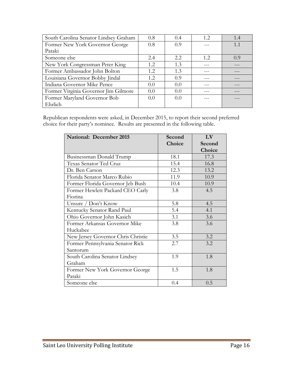| South Carolina Senator Lindsey Graham | 0.8           | 0.4  | 12   | 1.4 |
|---------------------------------------|---------------|------|------|-----|
| Former New York Governor George       | 0.8           | 0.9  |      | 1.1 |
| Pataki                                |               |      |      |     |
| Someone else                          | 2.4           | 2.2. | 1.2. | 0.9 |
| New York Congressman Peter King       | 1.2.          | 1.3  |      |     |
| Former Ambassador John Bolton         | 1.2           | 1.3  |      |     |
| Louisiana Governor Bobby Jindal       | 1.2.          | 0.9  |      |     |
| Indiana Governor Mike Pence           | $0.0^{\circ}$ | 0.0  |      |     |
| Former Virginia Governor Jim Gilmore  | $0.0^{\circ}$ | 0.0  |      |     |
| Former Maryland Governor Bob          | 0.0           | 0.0  |      |     |
| Ehrlich                               |               |      |      |     |

Republican respondents were asked, in December 2015, to report their second preferred choice for their party's nominee. Results are presented in the following table.

| <b>National: December 2015</b>     | Second | LV     |
|------------------------------------|--------|--------|
|                                    | Choice | Second |
|                                    |        | Choice |
| Businessman Donald Trump           | 18.1   | 17.3   |
| Texas Senator Ted Cruz             | 15.4   | 16.8   |
| Dr. Ben Carson                     | 12.3   | 13.2   |
| Florida Senator Marco Rubio        | 11.9   | 10.9   |
| Former Florida Governor Jeb Bush   | 10.4   | 10.9   |
| Former Hewlett Packard CEO Carly   | 3.8    | 4.5    |
| Fiorina                            |        |        |
| Unsure / Don't Know                | 5.8    | 4.5    |
| Kentucky Senator Rand Paul         | 5.4    | 4.1    |
| Ohio Governor John Kasich          | 3.1    | 3.6    |
| Former Arkansas Governor Mike      | 3.8    | 3.6    |
| Huckabee                           |        |        |
| New Jersey Governor Chris Christie | 3.5    | 3.2    |
| Former Pennsylvania Senator Rick   | 2.7    | 3.2    |
| Santorum                           |        |        |
| South Carolina Senator Lindsey     | 1.9    | 1.8    |
| Graham                             |        |        |
| Former New York Governor George    | 1.5    | 1.8    |
| Pataki                             |        |        |
| Someone else                       | 0.4    | 0.5    |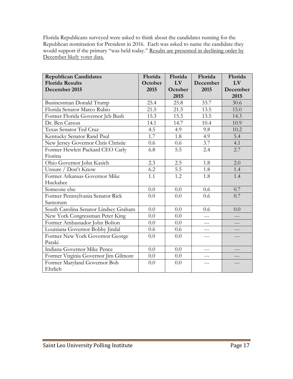Florida Republicans surveyed were asked to think about the candidates running for the Republican nomination for President in 2016. Each was asked to name the candidate they would support if the primary "was held today." Results are presented in declining order by December likely voter data.

| <b>Republican Candidates</b>          | Florida | Florida | Florida  | Florida  |
|---------------------------------------|---------|---------|----------|----------|
| <b>Florida Results</b>                | October | LV      | December | LV       |
| December 2015                         | 2015    | October | 2015     | December |
|                                       |         | 2015    |          | 2015     |
| Businessman Donald Trump              | 25.4    | 25.8    | 33.7     | 30.6     |
| Florida Senator Marco Rubio           | 21.5    | 21.5    | 13.5     | 15.0     |
| Former Florida Governor Jeb Bush      | 15.3    | 15.3    | 13.5     | 14.3     |
| Dr. Ben Carson                        | 14.1    | 14.7    | 10.4     | 10.9     |
| Texas Senator Ted Cruz                | 4.5     | 4.9     | 9.8      | 10.2     |
| Kentucky Senator Rand Paul            | 1.7     | 1.8     | 4.9      | 5.4      |
| New Jersey Governor Chris Christie    | 0.6     | 0.6     | 3.7      | 4.1      |
| Former Hewlett Packard CEO Carly      | 6.8     | 5.5     | 2.4      | 2.7      |
| Fiorina                               |         |         |          |          |
| Ohio Governor John Kasich             | 2.3     | 2.5     | 1.8      | 2.0      |
| Unsure / Don't Know                   | 6.2     | 5.5     | 1.8      | 1.4      |
| Former Arkansas Governor Mike         | 1.1     | 1.2     | 1.8      | 1.4      |
| Huckabee                              |         |         |          |          |
| Someone else                          | 0.0     | 0.0     | 0.6      | 0.7      |
| Former Pennsylvania Senator Rick      | 0.0     | 0.0     | 0.6      | 0.7      |
| Santorum                              |         |         |          |          |
| South Carolina Senator Lindsey Graham | 0.0     | 0.0     | 0.6      | 0.0      |
| New York Congressman Peter King       | 0.0     | 0.0     |          |          |
| Former Ambassador John Bolton         | 0.0     | 0.0     | $---$    |          |
| Louisiana Governor Bobby Jindal       | 0.6     | 0.6     | ---      |          |
| Former New York Governor George       | 0.0     | 0.0     | ---      | ---      |
| Pataki                                |         |         |          |          |
| Indiana Governor Mike Pence           | 0.0     | 0.0     | ---      |          |
| Former Virginia Governor Jim Gilmore  | 0.0     | 0.0     |          |          |
| Former Maryland Governor Bob          | 0.0     | 0.0     |          |          |
| Ehrlich                               |         |         |          |          |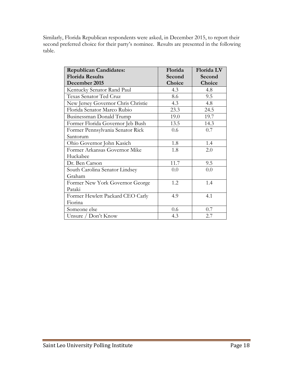Similarly, Florida Republican respondents were asked, in December 2015, to report their second preferred choice for their party's nominee. Results are presented in the following table.

| <b>Republican Candidates:</b>      | Florida | Florida LV |
|------------------------------------|---------|------------|
| <b>Florida Results</b>             | Second  | Second     |
| December 2015                      | Choice  | Choice     |
| Kentucky Senator Rand Paul         | 4.3     | 4.8        |
| Texas Senator Ted Cruz             | 8.6     | 9.5        |
| New Jersey Governor Chris Christie | 4.3     | 4.8        |
| Florida Senator Marco Rubio        | 23.3    | 24.5       |
| Businessman Donald Trump           | 19.0    | 19.7       |
| Former Florida Governor Jeb Bush   | 13.5    | 14.3       |
| Former Pennsylvania Senator Rick   | 0.6     | 0.7        |
| Santorum                           |         |            |
| Ohio Governor John Kasich          | 1.8     | 1.4        |
| Former Arkansas Governor Mike      | 1.8     | 2.0        |
| Huckabee                           |         |            |
| Dr. Ben Carson                     | 11.7    | 9.5        |
| South Carolina Senator Lindsey     | 0.0     | 0.0        |
| Graham                             |         |            |
| Former New York Governor George    | 1.2     | 1.4        |
| Pataki                             |         |            |
| Former Hewlett Packard CEO Carly   | 4.9     | 4.1        |
| Fiorina                            |         |            |
| Someone else                       | 0.6     | 0.7        |
| Unsure / Don't Know                | 4.3     | 2.7        |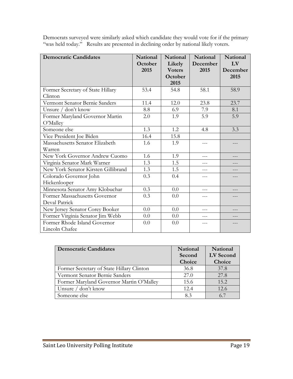| <b>Democratic Candidates</b>        | National | <b>National</b> | <b>National</b> | <b>National</b> |
|-------------------------------------|----------|-----------------|-----------------|-----------------|
|                                     | October  | Likely          | December        | LV              |
|                                     | 2015     | <b>Voters</b>   | 2015            | December        |
|                                     |          | October         |                 | 2015            |
|                                     |          | 2015            |                 |                 |
| Former Secretary of State Hillary   | 53.4     | 54.8            | 58.1            | 58.9            |
| Clinton                             |          |                 |                 |                 |
| Vermont Senator Bernie Sanders      | 11.4     | 12.0            | 23.8            | 23.7            |
| Unsure / don't know                 | 8.8      | 6.9             | 7.9             | 8.1             |
| Former Maryland Governor Martin     | 2.0      | 1.9             | 5.9             | 5.9             |
| O'Malley                            |          |                 |                 |                 |
| Someone else                        | 1.3      | 1.2             | 4.8             | 3.3             |
| Vice President Joe Biden            | 16.4     | 15.8            |                 |                 |
| Massachusetts Senator Elizabeth     | 1.6      | 1.9             | $---$           |                 |
| Warren                              |          |                 |                 |                 |
| New York Governor Andrew Cuomo      | 1.6      | 1.9             |                 |                 |
| Virginia Senator Mark Warner        | 1.3      | 1.5             | $=$ $ -$        |                 |
| New York Senator Kirsten Gillibrand | 1.3      | 1.5             |                 |                 |
| Colorado Governor John              | 0.3      | 0.4             | ---             |                 |
| Hickenlooper                        |          |                 |                 |                 |
| Minnesota Senator Amy Klobuchar     | 0.3      | 0.0             |                 |                 |
| Former Massachusetts Governor       | 0.3      | 0.0             | ---             | ---             |
| Deval Patrick                       |          |                 |                 |                 |
| New Jersey Senator Corey Booker     | 0.0      | 0.0             | $---$           | ---             |
| Former Virginia Senator Jim Webb    | 0.0      | 0.0             |                 |                 |
| Former Rhode Island Governor        | 0.0      | 0.0             |                 |                 |
| Lincoln Chafee                      |          |                 |                 |                 |

Democrats surveyed were similarly asked which candidate they would vote for if the primary "was held today." Results are presented in declining order by national likely voters.

| <b>Democratic Candidates</b>              | National<br>Second<br>Choice | National<br>LV Second<br>Choice |
|-------------------------------------------|------------------------------|---------------------------------|
| Former Secretary of State Hillary Clinton | 36.8                         | 37.8                            |
| Vermont Senator Bernie Sanders            | 27.0                         | 27.8                            |
| Former Maryland Governor Martin O'Malley  | 15.6                         | 15.2                            |
| Unsure / don't know                       | 12.4                         | 12.6                            |
| Someone else                              | 83                           | 67                              |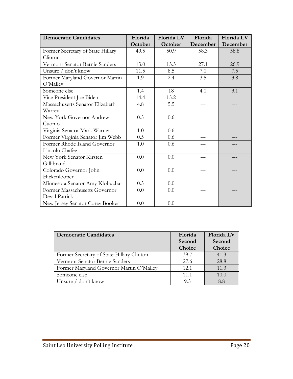| <b>Democratic Candidates</b>      | Florida | Florida LV | Florida  | Florida LV |
|-----------------------------------|---------|------------|----------|------------|
|                                   | October | October    | December | December   |
| Former Secretary of State Hillary | 49.5    | 50.9       | 58.3     | 58.8       |
| Clinton                           |         |            |          |            |
| Vermont Senator Bernie Sanders    | 13.0    | 13.3       | 27.1     | 26.9       |
| Unsure / don't know               | 11.5    | 8.5        | 7.0      | 7.5        |
| Former Maryland Governor Martin   | 1.9     | 2.4        | 3.5      | 3.8        |
| O'Malley                          |         |            |          |            |
| Someone else                      | 1.4     | 18         | 4.0      | 3.1        |
| Vice President Joe Biden          | 14.4    | 15.2       |          |            |
| Massachusetts Senator Elizabeth   | 4.8     | 5.5        | ---      |            |
| Warren                            |         |            |          |            |
| New York Governor Andrew          | 0.5     | 0.6        | ---      |            |
| Cuomo                             |         |            |          |            |
| Virginia Senator Mark Warner      | 1.0     | 0.6        |          |            |
| Former Virginia Senator Jim Webb  | 0.5     | 0.6        |          |            |
| Former Rhode Island Governor      | 1.0     | 0.6        |          |            |
| Lincoln Chafee                    |         |            |          |            |
| New York Senator Kirsten          | 0.0     | 0.0        | $---$    |            |
| Gillibrand                        |         |            |          |            |
| Colorado Governor John            | 0.0     | 0.0        | ---      |            |
| Hickenlooper                      |         |            |          |            |
| Minnesota Senator Amy Klobuchar   | 0.5     | 0.0        |          |            |
| Former Massachusetts Governor     | 0.0     | 0.0        |          |            |
| Deval Patrick                     |         |            |          |            |
| New Jersey Senator Corey Booker   | 0.0     | 0.0        | $---$    |            |

| <b>Democratic Candidates</b>              | Florida<br>Second<br>Choice | <b>Florida LV</b><br>Second<br>Choice |
|-------------------------------------------|-----------------------------|---------------------------------------|
| Former Secretary of State Hillary Clinton | 39.7                        | 41.3                                  |
| Vermont Senator Bernie Sanders            | 27.6                        | 28.8                                  |
| Former Maryland Governor Martin O'Malley  | 12.1                        | 11.3                                  |
| Someone else                              | 11.1                        | 10.0                                  |
| Unsure / don't know                       | 9.5                         | 8.8                                   |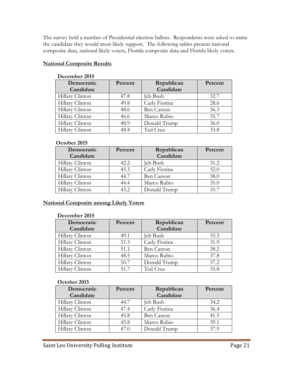The survey held a number of Presidential election ballots. Respondents were asked to name the candidate they would most likely support. The following tables present national composite data, national likely voters, Florida composite data and Florida likely voters.

#### **National Composite Results**

| December 2019   |         |                   |         |
|-----------------|---------|-------------------|---------|
| Democratic      | Percent | Republican        | Percent |
| Candidate       |         | Candidate         |         |
| Hillary Clinton | 47.8    | eb Bush           | 32.7    |
| Hillary Clinton | 49.8    | Carly Fiorina     | 28.6    |
| Hillary Clinton | 48.6    | <b>Ben Carson</b> | 36.3    |
| Hillary Clinton | 46.6    | Marco Rubio       | 35.7    |
| Hillary Clinton | 48.9    | Donald Trump      | 36.0    |
| Hillary Clinton | 48.4    | Ted Cruz          | 33.8    |
|                 |         |                   |         |

#### **December 2015**

#### **October 2015**

| Democratic      | Percent | Republican    | Percent |
|-----------------|---------|---------------|---------|
| Candidate       |         | Candidate     |         |
| Hillary Clinton | 42.2    | Jeb Bush      | 31.2    |
| Hillary Clinton | 45.3    | Carly Fiorina | 32.0    |
| Hillary Clinton | 44.7    | Ben Carson    | 38.0    |
| Hillary Clinton | 44.4    | Marco Rubio   | 35.0    |
| Hillary Clinton | 45.2    | Donald Trump  | 35.7    |

#### **National Composite among Likely Voters**

#### **December 2015**

| Democratic      | Percent | Republican        | Percent |
|-----------------|---------|-------------------|---------|
| Candidate       |         | Candidate         |         |
| Hillary Clinton | 49.1    | Jeb Bush          | 35.3    |
| Hillary Clinton | 51.3    | Carly Fiorina     | 31.9    |
| Hillary Clinton | 51.1    | <b>Ben Carson</b> | 38.2    |
| Hillary Clinton | 48.5    | Marco Rubio       | 37.8    |
| Hillary Clinton | 50.7    | Donald Trump      | 37.2    |
| Hillary Clinton | 51.7    | Ted Cruz          | 35.8    |

| Democratic<br>Candidate | Percent | Republican<br>Candidate | Percent |
|-------------------------|---------|-------------------------|---------|
| Hillary Clinton         | 44.7    | Jeb Bush                | 34.2    |
| Hillary Clinton         | 47.4    | Carly Fiorina           | 36.4    |
| Hillary Clinton         | 45.8    | <b>Ben Carson</b>       | 41.5    |
| Hillary Clinton         | 45.8    | Marco Rubio             | 39.1    |
| Hillary Clinton         | 47.0    | Donald Trump            | 37.9    |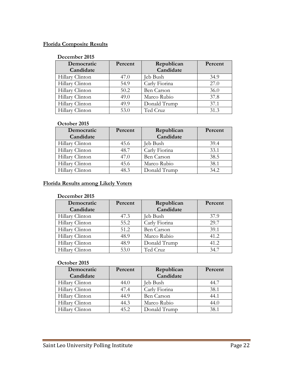#### **Florida Composite Results**

#### **December 2015**

| Democratic      | Percent | Republican        | Percent |
|-----------------|---------|-------------------|---------|
| Candidate       |         | Candidate         |         |
| Hillary Clinton | 47.0    | Jeb Bush          | 34.9    |
| Hillary Clinton | 54.9    | Carly Fiorina     | 27.0    |
| Hillary Clinton | 50.2    | <b>Ben Carson</b> | 36.0    |
| Hillary Clinton | 49.0    | Marco Rubio       | 37.8    |
| Hillary Clinton | 49.9    | Donald Trump      | 37.1    |
| Hillary Clinton | 53.0    | Ted Cruz          | 31.3    |

#### **October 2015**

| Democratic      | Percent | Republican    | Percent |
|-----------------|---------|---------------|---------|
| Candidate       |         | Candidate     |         |
| Hillary Clinton | 45.6    | Jeb Bush      | 39.4    |
| Hillary Clinton | 48.7    | Carly Fiorina | 33.1    |
| Hillary Clinton | 47.0    | Ben Carson    | 38.5    |
| Hillary Clinton | 45.6    | Marco Rubio   | 38.1    |
| Hillary Clinton | 48.3    | Donald Trump  | 34.2    |

#### **Florida Results among Likely Voters**

#### **December 2015**

| Democratic      | Percent | Republican    | Percent |
|-----------------|---------|---------------|---------|
| Candidate       |         | Candidate     |         |
| Hillary Clinton | 47.3    | Jeb Bush      | 37.9    |
| Hillary Clinton | 55.2    | Carly Fiorina | 29.7    |
| Hillary Clinton | 51.2    | Ben Carson    | 39.1    |
| Hillary Clinton | 48.9    | Marco Rubio   | 41.2    |
| Hillary Clinton | 48.9    | Donald Trump  | 41.2    |
| Hillary Clinton | 53.0    | Ted Cruz      | 34.7    |

| Democratic      | Percent | Republican        | Percent |
|-----------------|---------|-------------------|---------|
| Candidate       |         | Candidate         |         |
| Hillary Clinton | 44.0    | Jeb Bush          | 44.7    |
| Hillary Clinton | 47.4    | Carly Fiorina     | 38.1    |
| Hillary Clinton | 44.9    | <b>Ben Carson</b> | 44.1    |
| Hillary Clinton | 44.3    | Marco Rubio       | 44.0    |
| Hillary Clinton | 45.2    | Donald Trump      | 38.1    |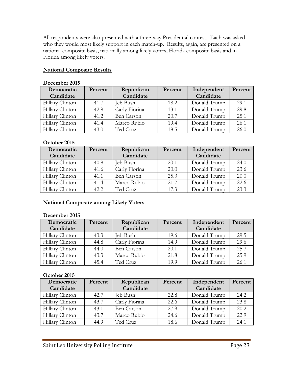All respondents were also presented with a three-way Presidential contest. Each was asked who they would most likely support in each match-up. Results, again, are presented on a national composite basis, nationally among likely voters, Florida composite basis and in Florida among likely voters.

#### **National Composite Results**

| $\sim$          |         |               |         |              |         |
|-----------------|---------|---------------|---------|--------------|---------|
| Democratic      | Percent | Republican    | Percent | Independent  | Percent |
| Candidate       |         | Candidate     |         | Candidate    |         |
| Hillary Clinton | 41.7    | Jeb Bush      | 18.2    | Donald Trump | 29.1    |
| Hillary Clinton | 42.9    | Carly Fiorina | 13.1    | Donald Trump | 29.8    |
| Hillary Clinton | 41.2    | Ben Carson    | 20.7    | Donald Trump | 25.1    |
| Hillary Clinton | 41.4    | Marco Rubio   | 19.4    | Donald Trump | 26.1    |
| Hillary Clinton | 43.0    | Ted Cruz      | 18.5    | Donald Trump | 26.0    |

#### **December 2015**

#### **October 2015**

| Democratic      | Percent | Republican    | Percent | Independent  | Percent |
|-----------------|---------|---------------|---------|--------------|---------|
| Candidate       |         | Candidate     |         | Candidate    |         |
| Hillary Clinton | 40.8    | Jeb Bush      | 20.1    | Donald Trump | 24.0    |
| Hillary Clinton | 41.6    | Carly Fiorina | 20.0    | Donald Trump | 23.6    |
| Hillary Clinton | 41.1    | Ben Carson    | 25.3    | Donald Trump | 20.0    |
| Hillary Clinton | 41.4    | Marco Rubio   | 21.7    | Donald Trump | 22.6    |
| Hillary Clinton | 42.2    | Ted Cruz      | 17.3    | Donald Trump | 23.3    |

#### **National Composite among Likely Voters**

#### **December 2015**

| Democratic      | Percent | Republican        | Percent | Independent  | Percent |
|-----------------|---------|-------------------|---------|--------------|---------|
| Candidate       |         | Candidate         |         | Candidate    |         |
| Hillary Clinton | 43.3    | <b>Jeb Bush</b>   | 19.6    | Donald Trump | 29.5    |
| Hillary Clinton | 44.8    | Carly Fiorina     | 14.9    | Donald Trump | 29.6    |
| Hillary Clinton | 44.0    | <b>Ben Carson</b> | 20.1    | Donald Trump | 25.7    |
| Hillary Clinton | 43.3    | Marco Rubio       | 21.8    | Donald Trump | 25.9    |
| Hillary Clinton | 45.4    | Ted Cruz          | 19.9    | Donald Trump | 26.1    |

| Democratic      | Percent | Republican    | Percent | Independent  | Percent |
|-----------------|---------|---------------|---------|--------------|---------|
| Candidate       |         | Candidate     |         | Candidate    |         |
| Hillary Clinton | 42.7    | Jeb Bush      | 22.8    | Donald Trump | 24.2    |
| Hillary Clinton | 43.7    | Carly Fiorina | 22.6    | Donald Trump | 23.8    |
| Hillary Clinton | 43.1    | Ben Carson    | 27.9    | Donald Trump | 20.2    |
| Hillary Clinton | 43.7    | Marco Rubio   | 24.6    | Donald Trump | 22.9    |
| Hillary Clinton | 44.9    | Ted Cruz      | 18.6    | Donald Trump | 24.1    |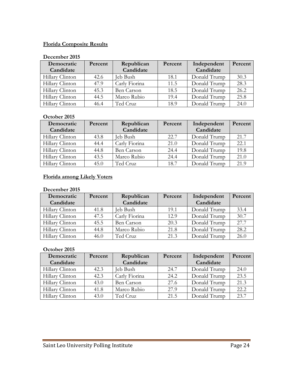#### **Florida Composite Results**

#### **December 2015**

| Democratic      | Percent | Republican    | Percent | Independent  | Percent |
|-----------------|---------|---------------|---------|--------------|---------|
| Candidate       |         | Candidate     |         | Candidate    |         |
| Hillary Clinton | 42.6    | Jeb Bush      | 18.1    | Donald Trump | 30.3    |
| Hillary Clinton | 47.9    | Carly Fiorina | 11.5    | Donald Trump | 28.3    |
| Hillary Clinton | 45.3    | Ben Carson    | 18.5    | Donald Trump | 26.2    |
| Hillary Clinton | 44.5    | Marco Rubio   | 19.4    | Donald Trump | 25.8    |
| Hillary Clinton | 46.4    | Ted Cruz      | 18.9    | Donald Trump | 24.0    |

#### **October 2015**

| Democratic      | Percent | Republican    | Percent | Independent  | Percent |
|-----------------|---------|---------------|---------|--------------|---------|
| Candidate       |         | Candidate     |         | Candidate    |         |
| Hillary Clinton | 43.8    | Jeb Bush      | 22.7    | Donald Trump | 21.7    |
| Hillary Clinton | 44.4    | Carly Fiorina | 21.0    | Donald Trump | 22.1    |
| Hillary Clinton | 44.8    | Ben Carson    | 24.4    | Donald Trump | 19.8    |
| Hillary Clinton | 43.5    | Marco Rubio   | 24.4    | Donald Trump | 21.0    |
| Hillary Clinton | 45.0    | Ted Cruz      | 18.7    | Donald Trump | 21.9    |

#### **Florida among Likely Voters**

#### **December 2015**

| Democratic      | Percent | Republican    | Percent | Independent  | Percent |
|-----------------|---------|---------------|---------|--------------|---------|
| Candidate       |         | Candidate     |         | Candidate    |         |
| Hillary Clinton | 41.8    | Jeb Bush      | 19.1    | Donald Trump | 33.4    |
| Hillary Clinton | 47.5    | Carly Fiorina | 12.9    | Donald Trump | 30.7    |
| Hillary Clinton | 45.5    | Ben Carson    | 20.3    | Donald Trump | 27.7    |
| Hillary Clinton | 44.8    | Marco Rubio   | 21.8    | Donald Trump | 28.2    |
| Hillary Clinton | 46.0    | Ted Cruz      | 21.3    | Donald Trump | 26.0    |

| Democratic      | Percent | Republican    | Percent | Independent  | Percent |
|-----------------|---------|---------------|---------|--------------|---------|
| Candidate       |         | Candidate     |         | Candidate    |         |
| Hillary Clinton | 42.3    | Jeb Bush      | 24.7    | Donald Trump | 24.0    |
| Hillary Clinton | 42.3    | Carly Fiorina | 24.2    | Donald Trump | 23.5    |
| Hillary Clinton | 43.0    | Ben Carson    | 27.6    | Donald Trump | 21.3    |
| Hillary Clinton | 41.8    | Marco Rubio   | 27.9    | Donald Trump | 22.2    |
| Hillary Clinton | 43.0    | Ted Cruz      | 21.5    | Donald Trump | 23.7    |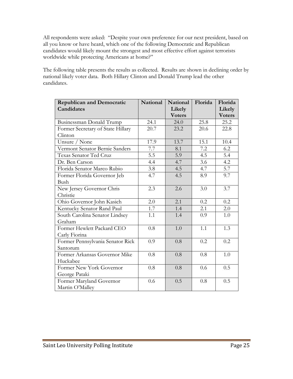All respondents were asked: "Despite your own preference for our next president, based on all you know or have heard, which one of the following Democratic and Republican candidates would likely mount the strongest and most effective effort against terrorists worldwide while protecting Americans at home?"

The following table presents the results as collected. Results are shown in declining order by national likely voter data. Both Hillary Clinton and Donald Trump lead the other candidates.

| <b>Republican and Democratic</b>  | <b>National</b> | <b>National</b>         | Florida | Florida                 |
|-----------------------------------|-----------------|-------------------------|---------|-------------------------|
| Candidates                        |                 | Likely<br><b>Voters</b> |         | Likely<br><b>Voters</b> |
| Businessman Donald Trump          | 24.1            | 24.0                    | 25.8    | 25.2                    |
| Former Secretary of State Hillary | 20.7            | 23.2                    | 20.6    | 22.8                    |
| Clinton                           |                 |                         |         |                         |
| Unsure / None                     | 17.9            | 13.7                    | 15.1    | 10.4                    |
| Vermont Senator Bernie Sanders    | 7.7             | 8.1                     | 7.2     | 6.2                     |
| Texas Senator Ted Cruz            | 5.5             | 5.9                     | 4.5     | 5.4                     |
| Dr. Ben Carson                    | 4.4             | 4.7                     | 3.6     | 4.2                     |
| Florida Senator Marco Rubio       | 3.8             | 4.5                     | 4.7     | $\overline{5.7}$        |
| Former Florida Governor Jeb       | 4.7             | 4.5                     | 8.9     | 9.7                     |
| Bush                              |                 |                         |         |                         |
| New Jersey Governor Chris         | 2.3             | 2.6                     | 3.0     | 3.7                     |
| Christie                          |                 |                         |         |                         |
| Ohio Governor John Kasich         | 2.0             | 2.1                     | 0.2     | 0.2                     |
| Kentucky Senator Rand Paul        | 1.7             | 1.4                     | 2.1     | 2.0                     |
| South Carolina Senator Lindsey    | 1.1             | 1.4                     | 0.9     | 1.0                     |
| Graham                            |                 |                         |         |                         |
| Former Hewlett Packard CEO        | 0.8             | 1.0                     | 1.1     | 1.3                     |
| Carly Fiorina                     |                 |                         |         |                         |
| Former Pennsylvania Senator Rick  | 0.9             | 0.8                     | 0.2     | 0.2                     |
| Santorum                          |                 |                         |         |                         |
| Former Arkansas Governor Mike     | 0.8             | 0.8                     | 0.8     | 1.0                     |
| Huckabee                          |                 |                         |         |                         |
| Former New York Governor          | 0.8             | 0.8                     | 0.6     | 0.5                     |
| George Pataki                     |                 |                         |         |                         |
| Former Maryland Governor          | 0.6             | 0.5                     | 0.8     | 0.5                     |
| Martin O'Malley                   |                 |                         |         |                         |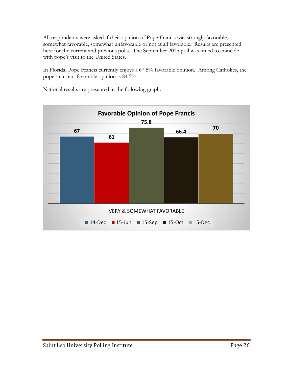All respondents were asked if their opinion of Pope Francis was strongly favorable, somewhat favorable, somewhat unfavorable or not at all favorable. Results are presented here for the current and previous polls. The September 2015 poll was timed to coincide with pope's visit to the United States.

In Florida, Pope Francis currently enjoys a 67.5% favorable opinion. Among Catholics, the pope's current favorable opinion is 84.5%.

**67 61 75.8 66.4 <sup>70</sup>** VERY & SOMEWHAT FAVORABLE **Favorable Opinion of Pope Francis** ■ 14-Dec ■ 15-Jun ■ 15-Sep ■ 15-Oct ■ 15-Dec

National results are presented in the following graph.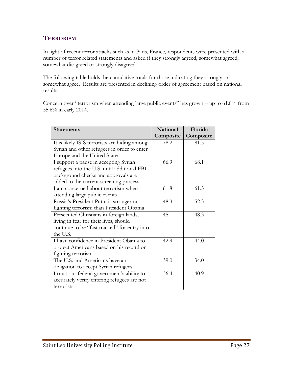#### **TERRORISM**

In light of recent terror attacks such as in Paris, France, respondents were presented with a number of terror related statements and asked if they strongly agreed, somewhat agreed, somewhat disagreed or strongly disagreed.

The following table holds the cumulative totals for those indicating they strongly or somewhat agree. Results are presented in declining order of agreement based on national results.

Concern over "terrorism when attending large public events" has grown – up to 61.8% from 55.6% in early 2014.

| <b>Statements</b>                             | <b>National</b> | Florida   |
|-----------------------------------------------|-----------------|-----------|
|                                               | Composite       | Composite |
| It is likely ISIS terrorists are hiding among | 78.2            | 81.5      |
| Syrian and other refugees in order to enter   |                 |           |
| Europe and the United States                  |                 |           |
| I support a pause in accepting Syrian         | 66.9            | 68.1      |
| refugees into the U.S. until additional FBI   |                 |           |
| background checks and approvals are           |                 |           |
| added to the current screening process        |                 |           |
| I am concerned about terrorism when           | 61.8            | 61.3      |
| attending large public events                 |                 |           |
| Russia's President Putin is stronger on       | 48.3            | 52.3      |
| fighting terrorism than President Obama       |                 |           |
| Persecuted Christians in foreign lands,       | 45.1            | 48.3      |
| living in fear for their lives, should        |                 |           |
| continue to be "fast tracked" for entry into  |                 |           |
| the U.S.                                      |                 |           |
| I have confidence in President Obama to       | 42.9            | 44.0      |
| protect Americans based on his record on      |                 |           |
| fighting terrorism                            |                 |           |
| The U.S. and Americans have an                | 39.0            | 34.0      |
| obligation to accept Syrian refugees          |                 |           |
| I trust our federal government's ability to   | 36.4            | 40.9      |
| accurately verify entering refugees are not   |                 |           |
| terrorists                                    |                 |           |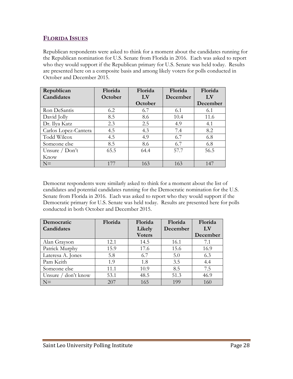#### **FLORIDA ISSUES**

Republican respondents were asked to think for a moment about the candidates running for the Republican nomination for U.S. Senate from Florida in 2016. Each was asked to report who they would support if the Republican primary for U.S. Senate was held today. Results are presented here on a composite basis and among likely voters for polls conducted in October and December 2015.

| Republican           | Florida | Florida | Florida  | Florida  |
|----------------------|---------|---------|----------|----------|
| Candidates           | October | LV      | December | LV       |
|                      |         | October |          | December |
| Ron DeSantis         | 6.2     | 6.7     | 6.1      | 6.1      |
| David Jolly          | 8.5     | 8.6     | 10.4     | 11.6     |
| Dr. Ilya Katz        | 2.3     | 2.5     | 4.9      | 4.1      |
| Carlos Lopez-Cantera | 4.5     | 4.3     | 7.4      | 8.2      |
| <b>Todd Wilcox</b>   | 4.5     | 4.9     | 6.7      | 6.8      |
| Someone else         | 8.5     | 8.6     | 6.7      | 6.8      |
| Unsure $/$ Don't     | 65.5    | 64.4    | 57.7     | 56.5     |
| Know                 |         |         |          |          |
| $N=$                 | 177     | 163     | 163      | 147      |

Democrat respondents were similarly asked to think for a moment about the list of candidates and potential candidates running for the Democratic nomination for the U.S. Senate from Florida in 2016. Each was asked to report who they would support if the Democratic primary for U.S. Senate was held today. Results are presented here for polls conducted in both October and December 2015.

| Democratic          | Florida | Florida       | Florida  | Florida  |
|---------------------|---------|---------------|----------|----------|
| Candidates          |         | Likely        | December | LV       |
|                     |         | <b>Voters</b> |          | December |
| Alan Grayson        | 12.1    | 14.5          | 16.1     | 7.1      |
| Patrick Murphy      | 15.9    | 17.6          | 15.6     | 16.9     |
| Lateresa A. Jones   | 5.8     | 6.7           | 5.0      | 6.3      |
| Pam Keith           | 1.9     | 1.8           | 3.5      | 4.4      |
| Someone else        | 11.1    | 10.9          | 8.5      | 7.5      |
| Unsure / don't know | 53.1    | 48.5          | 51.3     | 46.9     |
| $N=$                | 207     | 165           | 199      | 160      |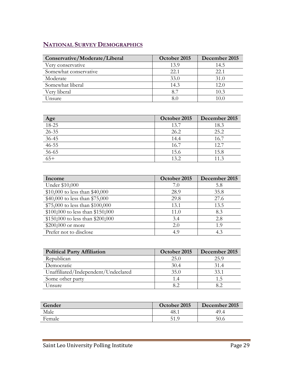### **NATIONAL SURVEY DEMOGRAPHICS**

| Conservative/Moderate/Liberal | October 2015 | December 2015 |
|-------------------------------|--------------|---------------|
| Very conservative             | 13.9         | 14.5          |
| Somewhat conservative         | 22.1         | 22.1          |
| Moderate                      | 33.0         | 31.0          |
| Somewhat liberal              | 14.3         | 12.0          |
| Very liberal                  | 8.7          | 10.3          |
| Unsure                        |              | 10 C          |

| $\frac{\text{Age}}{18-25}$ | October 2015 | December 2015 |
|----------------------------|--------------|---------------|
|                            | 13.7         | 18.3          |
| $26 - 35$                  | 26.2         | 25.2          |
| $36 - 45$                  | 14.4         | 16.7          |
| $46 - 55$                  | 16.7         | 12.7          |
| $56 - 65$                  | 15.6         | 15.8          |
| $\frac{65+}{7}$            | 13.2         | 11.3          |

| Income                           | October 2015 | December 2015 |
|----------------------------------|--------------|---------------|
| Under \$10,000                   | 7.0          | 5.8           |
| \$10,000 to less than \$40,000   | 28.9         | 35.8          |
| \$40,000 to less than \$75,000   | 29.8         | 27.6          |
| \$75,000 to less than \$100,000  | 13.1         | 13.5          |
| \$100,000 to less than \$150,000 | 11.0         | 8.3           |
| \$150,000 to less than \$200,000 | 3.4          | 2.8           |
| \$200,000 or more                | 2.0          | 1.9           |
| Prefer not to disclose           | 4.9          | 4.3           |

| <b>Political Party Affiliation</b>  | October 2015 | December 2015 |
|-------------------------------------|--------------|---------------|
| Republican                          | 25.0         | 25.9          |
| Democratic                          | 30.4         | 31.4          |
| Unaffiliated/Independent/Undeclared | 35.0         | 33.1          |
| Some other party                    | 1.4          |               |
| Unsure                              |              |               |

| Gender | October 2015 | December 2015 |
|--------|--------------|---------------|
| Male   | -48. .       | 49.4          |
| Female | 51.9         | 50.6          |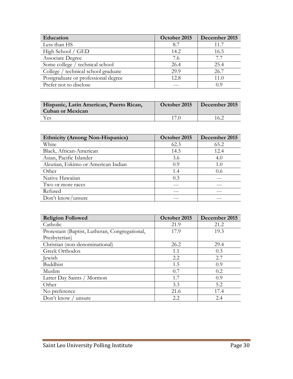| Education                           | October 2015 | December 2015 |
|-------------------------------------|--------------|---------------|
| Less than HS                        | 8.7          | 11.7          |
| High School / GED                   | 14.2         | 16.5          |
| Associate Degree                    | 7.6          | 7.7           |
| Some college / technical school     | 26.4         | 25.4          |
| College / technical school graduate | 29.9         | 26.7          |
| Postgraduate or professional degree | 12.8         | 11.0          |
| Prefer not to disclose              |              | 09            |

| Hispanic, Latin American, Puerto Rican,<br><b>Cuban or Mexican</b> | October 2015 | December 2015 |
|--------------------------------------------------------------------|--------------|---------------|
| Yes                                                                |              | 16.2          |

| <b>Ethnicity (Among Non-Hispanics)</b> | October 2015 | December 2015 |
|----------------------------------------|--------------|---------------|
| White                                  | 62.3         | 65.2          |
| Black, African-American                | 14.5         | 12.4          |
| Asian, Pacific Islander                | 3.6          | 4.0           |
| Aleutian, Eskimo or American Indian    | 0.9          | 1.0           |
| Other                                  | 1.4          | 0.6           |
| Native Hawaiian                        | 0.3          |               |
| Two or more races                      |              |               |
| Refused                                |              |               |
| Don't know/unsure                      |              |               |

| <b>Religion Followed</b>                       | October 2015 | December 2015 |
|------------------------------------------------|--------------|---------------|
| Catholic                                       | 21.9         | 21.2          |
| Protestant (Baptist, Lutheran, Congregational, | 17.9         | 19.3          |
| Presbyterian)                                  |              |               |
| Christian (non-denominational)                 | 26.2         | 29.4          |
| Greek Orthodox                                 | 1.1          | 0.3           |
| Jewish                                         | 2.2          | 2.7           |
| Buddhist                                       | 1.5          | 0.9           |
| Muslim                                         | 0.7          | 0.2           |
| Latter Day Saints / Mormon                     | 1.7          | 0.9           |
| Other                                          | 3.3          | 5.2           |
| No preference                                  | 21.6         | 17.4          |
| Don't know / unsure                            | 2.2          | 2.4           |